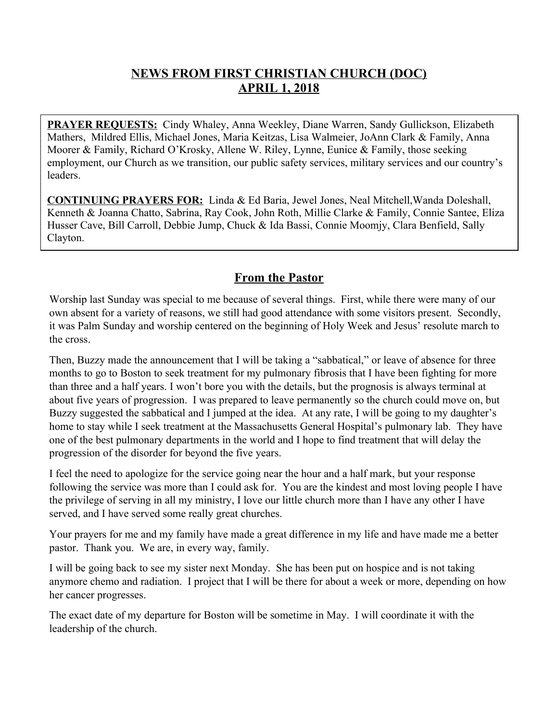### **NEWS FROM FIRST CHRISTIAN CHURCH (DOC) APRIL 1, 2018**

**PRAYER REQUESTS:** Cindy Whaley, Anna Weekley, Diane Warren, Sandy Gullickson, Elizabeth Mathers, Mildred Ellis, Michael Jones, Maria Keitzas, Lisa Walmeier, JoAnn Clark & Family, Anna Moorer & Family, Richard O'Krosky, Allene W. Riley, Lynne, Eunice & Family, those seeking employment, our Church as we transition, our public safety services, military services and our country's leaders.

**CONTINUING PRAYERS FOR:** Linda & Ed Baria, Jewel Jones, Neal Mitchell,Wanda Doleshall, Kenneth & Joanna Chatto, Sabrina, Ray Cook, John Roth, Millie Clarke & Family, Connie Santee, Eliza Husser Cave, Bill Carroll, Debbie Jump, Chuck & Ida Bassi, Connie Moomjy, Clara Benfield, Sally Clayton.

#### **From the Pastor**

Worship last Sunday was special to me because of several things. First, while there were many of our own absent for a variety of reasons, we still had good attendance with some visitors present. Secondly, it was Palm Sunday and worship centered on the beginning of Holy Week and Jesus' resolute march to the cross.

Then, Buzzy made the announcement that I will be taking a "sabbatical," or leave of absence for three months to go to Boston to seek treatment for my pulmonary fibrosis that I have been fighting for more than three and a half years. I won't bore you with the details, but the prognosis is always terminal at about five years of progression. I was prepared to leave permanently so the church could move on, but Buzzy suggested the sabbatical and I jumped at the idea. At any rate, I will be going to my daughter's home to stay while I seek treatment at the Massachusetts General Hospital's pulmonary lab. They have one of the best pulmonary departments in the world and I hope to find treatment that will delay the progression of the disorder for beyond the five years.

I feel the need to apologize for the service going near the hour and a half mark, but your response following the service was more than I could ask for. You are the kindest and most loving people I have the privilege of serving in all my ministry, I love our little church more than I have any other I have served, and I have served some really great churches.

Your prayers for me and my family have made a great difference in my life and have made me a better pastor. Thank you. We are, in every way, family.

I will be going back to see my sister next Monday. She has been put on hospice and is not taking anymore chemo and radiation. I project that I will be there for about a week or more, depending on how her cancer progresses.

The exact date of my departure for Boston will be sometime in May. I will coordinate it with the leadership of the church.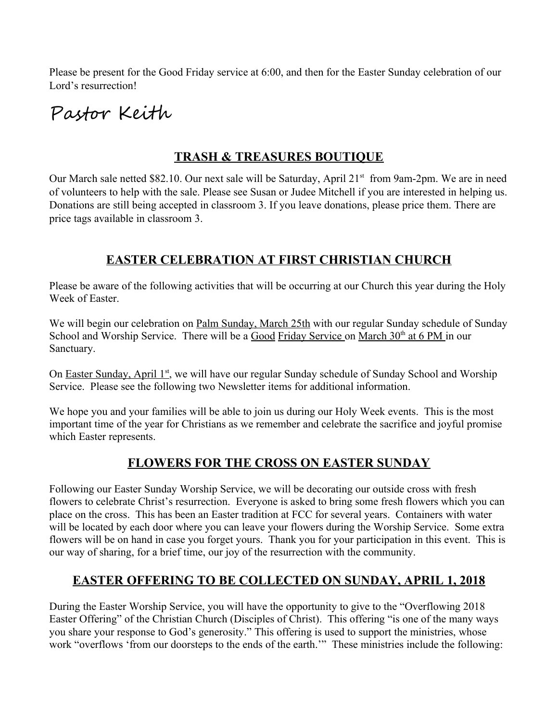Please be present for the Good Friday service at 6:00, and then for the Easter Sunday celebration of our Lord's resurrection!

# Pastor Keith

# **TRASH & TREASURES BOUTIQUE**

Our March sale netted \$82.10. Our next sale will be Saturday, April 21<sup>st</sup> from 9am-2pm. We are in need of volunteers to help with the sale. Please see Susan or Judee Mitchell if you are interested in helping us. Donations are still being accepted in classroom 3. If you leave donations, please price them. There are price tags available in classroom 3.

# **EASTER CELEBRATION AT FIRST CHRISTIAN CHURCH**

Please be aware of the following activities that will be occurring at our Church this year during the Holy Week of Easter.

We will begin our celebration on Palm Sunday, March 25th with our regular Sunday schedule of Sunday School and Worship Service. There will be a Good Friday Service on March 30<sup>th</sup> at 6 PM in our Sanctuary.

On Easter Sunday, April 1st, we will have our regular Sunday schedule of Sunday School and Worship Service. Please see the following two Newsletter items for additional information.

We hope you and your families will be able to join us during our Holy Week events. This is the most important time of the year for Christians as we remember and celebrate the sacrifice and joyful promise which Easter represents.

# **FLOWERS FOR THE CROSS ON EASTER SUNDAY**

Following our Easter Sunday Worship Service, we will be decorating our outside cross with fresh flowers to celebrate Christ's resurrection. Everyone is asked to bring some fresh flowers which you can place on the cross. This has been an Easter tradition at FCC for several years. Containers with water will be located by each door where you can leave your flowers during the Worship Service. Some extra flowers will be on hand in case you forget yours. Thank you for your participation in this event. This is our way of sharing, for a brief time, our joy of the resurrection with the community.

# **EASTER OFFERING TO BE COLLECTED ON SUNDAY, APRIL 1, 2018**

During the Easter Worship Service, you will have the opportunity to give to the "Overflowing 2018 Easter Offering" of the Christian Church (Disciples of Christ). This offering "is one of the many ways you share your response to God's generosity." This offering is used to support the ministries, whose work "overflows 'from our doorsteps to the ends of the earth.'" These ministries include the following: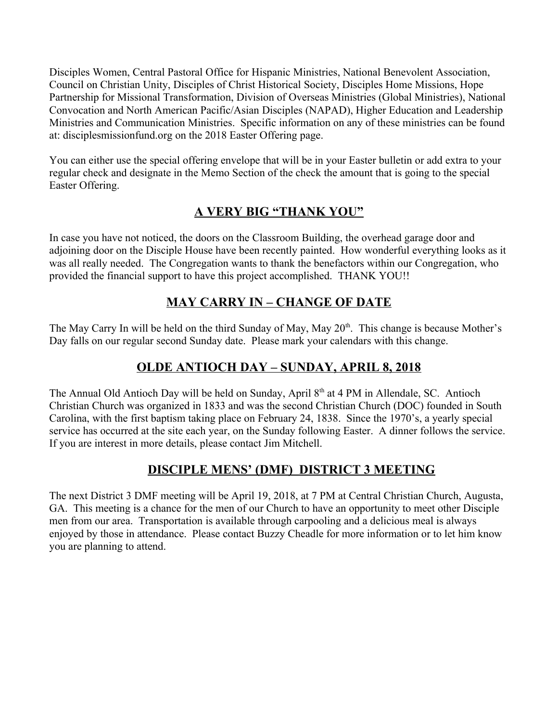Disciples Women, Central Pastoral Office for Hispanic Ministries, National Benevolent Association, Council on Christian Unity, Disciples of Christ Historical Society, Disciples Home Missions, Hope Partnership for Missional Transformation, Division of Overseas Ministries (Global Ministries), National Convocation and North American Pacific/Asian Disciples (NAPAD), Higher Education and Leadership Ministries and Communication Ministries. Specific information on any of these ministries can be found at: disciplesmissionfund.org on the 2018 Easter Offering page.

You can either use the special offering envelope that will be in your Easter bulletin or add extra to your regular check and designate in the Memo Section of the check the amount that is going to the special Easter Offering.

# **A VERY BIG "THANK YOU"**

In case you have not noticed, the doors on the Classroom Building, the overhead garage door and adjoining door on the Disciple House have been recently painted. How wonderful everything looks as it was all really needed. The Congregation wants to thank the benefactors within our Congregation, who provided the financial support to have this project accomplished. THANK YOU!!

### **MAY CARRY IN – CHANGE OF DATE**

The May Carry In will be held on the third Sunday of May, May 20<sup>th</sup>. This change is because Mother's Day falls on our regular second Sunday date. Please mark your calendars with this change.

# **OLDE ANTIOCH DAY – SUNDAY, APRIL 8, 2018**

The Annual Old Antioch Day will be held on Sunday, April  $8<sup>th</sup>$  at 4 PM in Allendale, SC. Antioch Christian Church was organized in 1833 and was the second Christian Church (DOC) founded in South Carolina, with the first baptism taking place on February 24, 1838. Since the 1970's, a yearly special service has occurred at the site each year, on the Sunday following Easter. A dinner follows the service. If you are interest in more details, please contact Jim Mitchell.

# **DISCIPLE MENS' (DMF) DISTRICT 3 MEETING**

The next District 3 DMF meeting will be April 19, 2018, at 7 PM at Central Christian Church, Augusta, GA. This meeting is a chance for the men of our Church to have an opportunity to meet other Disciple men from our area. Transportation is available through carpooling and a delicious meal is always enjoyed by those in attendance. Please contact Buzzy Cheadle for more information or to let him know you are planning to attend.